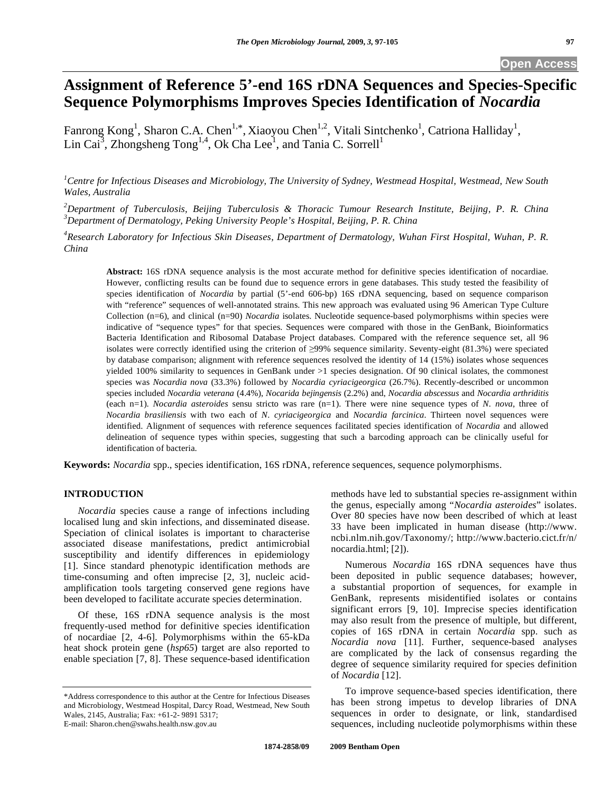# **Assignment of Reference 5'-end 16S rDNA Sequences and Species-Specific Sequence Polymorphisms Improves Species Identification of** *Nocardia*

Fanrong Kong<sup>1</sup>, Sharon C.A. Chen<sup>1,\*</sup>, Xiaoyou Chen<sup>1,2</sup>, Vitali Sintchenko<sup>1</sup>, Catriona Halliday<sup>1</sup>, Lin Cai<sup>3</sup>, Zhongsheng  $Tong^{1,4}$ , Ok Cha Lee<sup>1</sup>, and Tania C. Sorrell<sup>1</sup>

*1 Centre for Infectious Diseases and Microbiology, The University of Sydney, Westmead Hospital, Westmead, New South Wales, Australia* 

*2 Department of Tuberculosis, Beijing Tuberculosis & Thoracic Tumour Research Institute, Beijing, P. R. China 3 Department of Dermatology, Peking University People's Hospital, Beijing, P. R. China* 

*4 Research Laboratory for Infectious Skin Diseases, Department of Dermatology, Wuhan First Hospital, Wuhan, P. R. China* 

**Abstract:** 16S rDNA sequence analysis is the most accurate method for definitive species identification of nocardiae. However, conflicting results can be found due to sequence errors in gene databases. This study tested the feasibility of species identification of *Nocardia* by partial (5<sup>-</sup>-end 606-bp) 16S rDNA sequencing, based on sequence comparison with "reference" sequences of well-annotated strains. This new approach was evaluated using 96 American Type Culture Collection (n=6), and clinical (n=90) *Nocardia* isolates. Nucleotide sequence-based polymorphisms within species were indicative of "sequence types" for that species. Sequences were compared with those in the GenBank, Bioinformatics Bacteria Identification and Ribosomal Database Project databases. Compared with the reference sequence set, all 96 isolates were correctly identified using the criterion of 99% sequence similarity. Seventy-eight (81.3%) were speciated by database comparison; alignment with reference sequences resolved the identity of 14 (15%) isolates whose sequences yielded 100% similarity to sequences in GenBank under >1 species designation. Of 90 clinical isolates, the commonest species was *Nocardia nova* (33.3%) followed by *Nocardia cyriacigeorgica* (26.7%). Recently-described or uncommon species included *Nocardia veterana* (4.4%), *Nocarida bejingensis* (2.2%) and, *Nocardia abscessus* and *Nocardia arthriditis*  (each n=1). *Nocardia asteroides* sensu stricto was rare (n=1). There were nine sequence types of *N. nova*, three of *Nocardia brasiliensis* with two each of *N*. *cyriacigeorgica* and *Nocardia farcinica*. Thirteen novel sequences were identified. Alignment of sequences with reference sequences facilitated species identification of *Nocardia* and allowed delineation of sequence types within species, suggesting that such a barcoding approach can be clinically useful for identification of bacteria.

**Keywords:** *Nocardia* spp., species identification, 16S rDNA, reference sequences, sequence polymorphisms.

# **INTRODUCTION**

 *Nocardia* species cause a range of infections including localised lung and skin infections, and disseminated disease. Speciation of clinical isolates is important to characterise associated disease manifestations, predict antimicrobial susceptibility and identify differences in epidemiology [1]. Since standard phenotypic identification methods are time-consuming and often imprecise [2, 3], nucleic acidamplification tools targeting conserved gene regions have been developed to facilitate accurate species determination.

 Of these, 16S rDNA sequence analysis is the most frequently-used method for definitive species identification of nocardiae [2, 4-6]. Polymorphisms within the 65-kDa heat shock protein gene (*hsp65*) target are also reported to enable speciation [7, 8]. These sequence-based identification

methods have led to substantial species re-assignment within the genus, especially among "*Nocardia asteroides*" isolates. Over 80 species have now been described of which at least 33 have been implicated in human disease (http://www. ncbi.nlm.nih.gov/Taxonomy/; http://www.bacterio.cict.fr/n/ nocardia.html; [2]).

 Numerous *Nocardia* 16S rDNA sequences have thus been deposited in public sequence databases; however, a substantial proportion of sequences, for example in GenBank, represents misidentified isolates or contains significant errors [9, 10]. Imprecise species identification may also result from the presence of multiple, but different, copies of 16S rDNA in certain *Nocardia* spp. such as *Nocardia nova* [11]. Further, sequence-based analyses are complicated by the lack of consensus regarding the degree of sequence similarity required for species definition of *Nocardia* [12].

 To improve sequence-based species identification, there has been strong impetus to develop libraries of DNA sequences in order to designate, or link, standardised sequences, including nucleotide polymorphisms within these

<sup>\*</sup>Address correspondence to this author at the Centre for Infectious Diseases and Microbiology, Westmead Hospital, Darcy Road, Westmead, New South Wales, 2145, Australia; Fax: +61-2- 9891 5317; E-mail: Sharon.chen@swahs.health.nsw.gov.au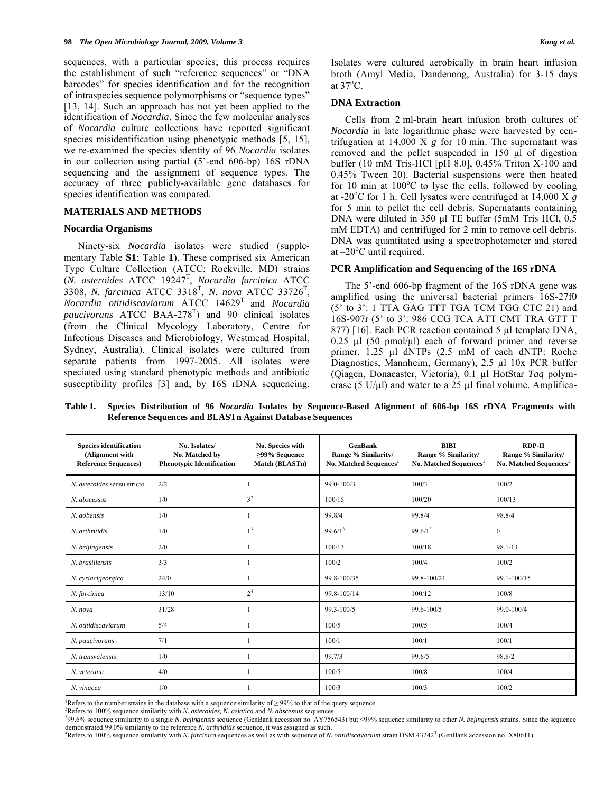sequences, with a particular species; this process requires the establishment of such "reference sequences" or "DNA barcodes" for species identification and for the recognition of intraspecies sequence polymorphisms or "sequence types" [13, 14]. Such an approach has not yet been applied to the identification of *Nocardia*. Since the few molecular analyses of *Nocardia* culture collections have reported significant species misidentification using phenotypic methods [5, 15], we re-examined the species identity of 96 *Nocardia* isolates in our collection using partial (5'-end 606-bp) 16S rDNA sequencing and the assignment of sequence types. The accuracy of three publicly-available gene databases for species identification was compared.

## **MATERIALS AND METHODS**

## **Nocardia Organisms**

 Ninety-six *Nocardia* isolates were studied (supplementary Table **S1**; Table **1**). These comprised six American Type Culture Collection (ATCC; Rockville, MD) strains (*N. asteroides* ATCC 19247<sup>T</sup> , *Nocardia farcinica* ATCC 3308, *N. farcinica* ATCC 3318<sup>T</sup> , *N. nova* ATCC 33726<sup>T</sup> , *Nocardia otitidiscaviarum* ATCC 14629T and *Nocardia paucivorans* ATCC BAA-278<sup>T</sup> ) and 90 clinical isolates (from the Clinical Mycology Laboratory, Centre for Infectious Diseases and Microbiology, Westmead Hospital, Sydney, Australia). Clinical isolates were cultured from separate patients from 1997-2005. All isolates were speciated using standard phenotypic methods and antibiotic susceptibility profiles [3] and, by 16S rDNA sequencing.

Isolates were cultured aerobically in brain heart infusion broth (Amyl Media, Dandenong, Australia) for 3-15 days at  $37^{\circ}$ C.

# **DNA Extraction**

 Cells from 2 ml-brain heart infusion broth cultures of *Nocardia* in late logarithmic phase were harvested by centrifugation at 14,000 X *g* for 10 min. The supernatant was removed and the pellet suspended in 150 μl of digestion buffer (10 mM Tris-HCl [pH 8.0], 0.45% Triton X-100 and 0.45% Tween 20). Bacterial suspensions were then heated for 10 min at  $100^{\circ}$ C to lyse the cells, followed by cooling at -20 $\degree$ C for 1 h. Cell lysates were centrifuged at 14,000 X  $\frac{8}{g}$ for 5 min to pellet the cell debris. Supernatants containing DNA were diluted in 350 μl TE buffer (5mM Tris HCl, 0.5 mM EDTA) and centrifuged for 2 min to remove cell debris. DNA was quantitated using a spectrophotometer and stored at  $-20^{\circ}$ C until required.

# **PCR Amplification and Sequencing of the 16S rDNA**

 The 5'-end 606-bp fragment of the 16S rDNA gene was amplified using the universal bacterial primers 16S-27f0 (5' to 3': 1 TTA GAG TTT TGA TCM TGG CTC 21) and 16S-907r (5' to 3': 986 CCG TCA ATT CMT TRA GTT T  $877$ ) [16]. Each PCR reaction contained 5  $\mu$ l template DNA,  $0.25$  µl (50 pmol/µl) each of forward primer and reverse primer, 1.25 µl dNTPs (2.5 mM of each dNTP: Roche Diagnostics, Mannheim, Germany), 2.5 µl 10x PCR buffer (Qiagen, Donacaster, Victoria), 0.1 µl HotStar *Taq* polymerase (5 U/ $\mu$ l) and water to a 25  $\mu$ l final volume. Amplifica-

**Table 1. Species Distribution of 96** *Nocardia* **Isolates by Sequence-Based Alignment of 606-bp 16S rDNA Fragments with Reference Sequences and BLASTn Against Database Sequences** 

| <b>Species identification</b><br>(Alignment with<br><b>Reference Sequences)</b> | No. Isolates/<br>No. Matched by<br><b>Phenotypic Identification</b> | No. Species with<br>$\geq$ 99% Sequence<br>Match (BLASTn) | <b>GenBank</b><br>Range % Similarity/<br>No. Matched Sequences <sup>1</sup> | <b>BIBI</b><br>Range % Similarity/<br>No. Matched Sequences <sup>1</sup> | <b>RDP-II</b><br>Range % Similarity/<br>No. Matched Sequences <sup>1</sup> |
|---------------------------------------------------------------------------------|---------------------------------------------------------------------|-----------------------------------------------------------|-----------------------------------------------------------------------------|--------------------------------------------------------------------------|----------------------------------------------------------------------------|
| N. asteroides sensu stricto                                                     | 2/2                                                                 |                                                           | 99.0-100/3                                                                  | 100/3                                                                    | 100/2                                                                      |
| N. abscessus                                                                    | 1/0                                                                 | 3 <sup>2</sup>                                            | 100/15                                                                      | 100/20                                                                   | 100/13                                                                     |
| N. aobensis                                                                     | 1/0                                                                 |                                                           | 99.8/4                                                                      | 99.8/4                                                                   | 98.8/4                                                                     |
| N. arthritidis                                                                  | 1/0                                                                 | 1 <sup>3</sup>                                            | 99.6/1 <sup>3</sup>                                                         | $99.6/1^3$                                                               | $\mathbf{0}$                                                               |
| N. beijingensis                                                                 | 2/0                                                                 | -1                                                        | 100/13                                                                      | 100/18                                                                   | 98.1/13                                                                    |
| N. brasiliensis                                                                 | 3/3                                                                 | -1                                                        | 100/2                                                                       | 100/4                                                                    | 100/2                                                                      |
| N. cyriacigeorgica                                                              | 24/0                                                                |                                                           | 99.8-100/35                                                                 | 99.8-100/21                                                              | 99.1-100/15                                                                |
| N. farcinica                                                                    | 13/10                                                               | 2 <sup>4</sup>                                            | 99.8-100/14                                                                 | 100/12                                                                   | 100/8                                                                      |
| N. nova                                                                         | 31/28                                                               |                                                           | 99.3-100/5                                                                  | 99.6-100/5                                                               | 99.0-100/4                                                                 |
| N. otitidiscaviarum                                                             | 5/4                                                                 | -1                                                        | 100/5                                                                       | 100/5                                                                    | 100/4                                                                      |
| N. paucivorans                                                                  | 7/1                                                                 |                                                           | 100/1                                                                       | 100/1                                                                    | 100/1                                                                      |
| N. transvalensis                                                                | 1/0                                                                 | -1                                                        | 99.7/3                                                                      | 99.6/5                                                                   | 98.8/2                                                                     |
| N. veterana                                                                     | 4/0                                                                 | -1                                                        | 100/5                                                                       | 100/8                                                                    | 100/4                                                                      |
| N. vinacea                                                                      | 1/0                                                                 |                                                           | 100/3                                                                       | 100/3                                                                    | 100/2                                                                      |

Refers to the number strains in the database with a sequence similarity of  $\geq$  99% to that of the query sequence.

Refers to 100% sequence similarity with *N. asteroides, N. asiatica* and *N. abscessus* sequences. 3

99.6% sequence similarity to a single *N. bejingensis* sequence (GenBank accession no. AY756543) but <99% sequence similarity to other *N. bejingensis* strains. Since the sequence demonstrated 99.0% similarity to the reference *N. arthriditis* sequence, it was assigned as such.

<sup>4</sup>Refers to 100% sequence similarity with *N. farcinica* sequences as well as with sequence of *N. otitidiscavarium* strain DSM 43242<sup>T</sup> (GenBank accession no. X80611).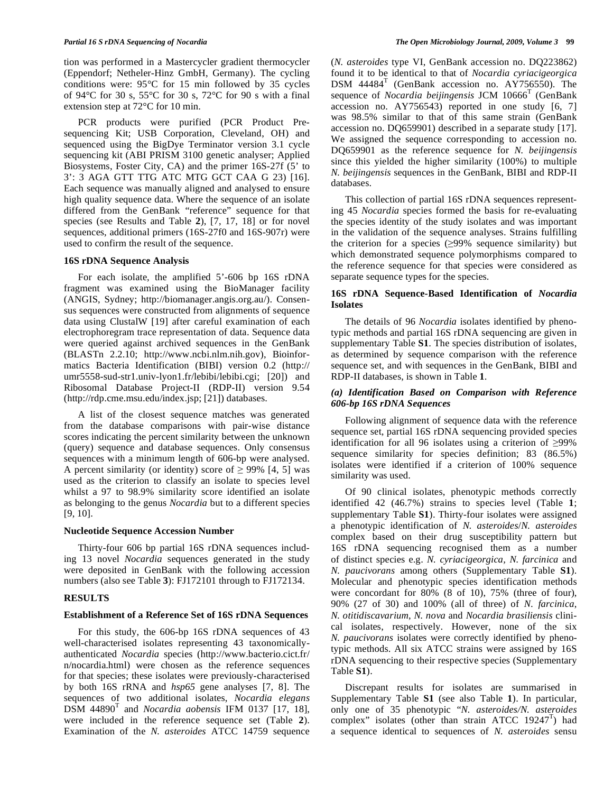tion was performed in a Mastercycler gradient thermocycler (Eppendorf; Netheler-Hinz GmbH, Germany). The cycling conditions were: 95°C for 15 min followed by 35 cycles of 94°C for 30 s, 55°C for 30 s, 72°C for 90 s with a final extension step at 72°C for 10 min.

 PCR products were purified (PCR Product Presequencing Kit; USB Corporation, Cleveland, OH) and sequenced using the BigDye Terminator version 3.1 cycle sequencing kit (ABI PRISM 3100 genetic analyser; Applied Biosystems, Foster City, CA) and the primer 16S-27f (5' to 3': 3 AGA GTT TTG ATC MTG GCT CAA G 23) [16]. Each sequence was manually aligned and analysed to ensure high quality sequence data. Where the sequence of an isolate differed from the GenBank "reference" sequence for that species (see Results and Table **2**), [7, 17, 18] or for novel sequences, additional primers (16S-27f0 and 16S-907r) were used to confirm the result of the sequence.

## **16S rDNA Sequence Analysis**

 For each isolate, the amplified 5'-606 bp 16S rDNA fragment was examined using the BioManager facility (ANGIS, Sydney; http://biomanager.angis.org.au/). Consensus sequences were constructed from alignments of sequence data using ClustalW [19] after careful examination of each electrophoregram trace representation of data. Sequence data were queried against archived sequences in the GenBank (BLASTn 2.2.10; http://www.ncbi.nlm.nih.gov), Bioinformatics Bacteria Identification (BIBI) version 0.2 (http:// umr5558-sud-str1.univ-lyon1.fr/lebibi/lebibi.cgi; [20]) and Ribosomal Database Project-II (RDP-II) version 9.54 (http://rdp.cme.msu.edu/index.jsp; [21]) databases.

 A list of the closest sequence matches was generated from the database comparisons with pair-wise distance scores indicating the percent similarity between the unknown (query) sequence and database sequences. Only consensus sequences with a minimum length of 606-bp were analysed. A percent similarity (or identity) score of  $\geq$  99% [4, 5] was used as the criterion to classify an isolate to species level whilst a 97 to 98.9% similarity score identified an isolate as belonging to the genus *Nocardia* but to a different species [9, 10].

#### **Nucleotide Sequence Accession Number**

 Thirty-four 606 bp partial 16S rDNA sequences including 13 novel *Nocardia* sequences generated in the study were deposited in GenBank with the following accession numbers (also see Table **3**): FJ172101 through to FJ172134.

# **RESULTS**

#### **Establishment of a Reference Set of 16S rDNA Sequences**

 For this study, the 606-bp 16S rDNA sequences of 43 well-characterised isolates representing 43 taxonomicallyauthenticated *Nocardia* species (http://www.bacterio.cict.fr/ n/nocardia.html) were chosen as the reference sequences for that species; these isolates were previously-characterised by both 16S rRNA and *hsp65* gene analyses [7, 8]. The sequences of two additional isolates, *Nocardia elegans*  $DSM$  44890<sup>T</sup> and *Nocardia aobensis* IFM 0137 [17, 18], were included in the reference sequence set (Table **2**). Examination of the *N. asteroides* ATCC 14759 sequence

(*N. asteroides* type VI, GenBank accession no. DQ223862) found it to be identical to that of *Nocardia cyriacigeorgica* DSM  $44484^T$  (GenBank accession no. AY756550). The sequence of *Nocardia beijingensis* JCM 10666<sup>T</sup> (GenBank accession no. AY756543) reported in one study [6, 7] was 98.5% similar to that of this same strain (GenBank accession no. DQ659901) described in a separate study [17]. We assigned the sequence corresponding to accession no. DQ659901 as the reference sequence for *N. beijingensis* since this yielded the higher similarity (100%) to multiple *N. beijingensis* sequences in the GenBank, BIBI and RDP-II databases.

 This collection of partial 16S rDNA sequences representing 45 *Nocardia* species formed the basis for re-evaluating the species identity of the study isolates and was important in the validation of the sequence analyses. Strains fulfilling the criterion for a species  $(≥99%$  sequence similarity) but which demonstrated sequence polymorphisms compared to the reference sequence for that species were considered as separate sequence types for the species.

# **16S rDNA Sequence-Based Identification of** *Nocardia* **Isolates**

 The details of 96 *Nocardia* isolates identified by phenotypic methods and partial 16S rDNA sequencing are given in supplementary Table **S1**. The species distribution of isolates, as determined by sequence comparison with the reference sequence set, and with sequences in the GenBank, BIBI and RDP-II databases, is shown in Table **1**.

## *(a) Identification Based on Comparison with Reference 606-bp 16S rDNA Sequences*

 Following alignment of sequence data with the reference sequence set, partial 16S rDNA sequencing provided species identification for all 96 isolates using a criterion of  $\geq$ 99% sequence similarity for species definition; 83 (86.5%) isolates were identified if a criterion of 100% sequence similarity was used.

 Of 90 clinical isolates, phenotypic methods correctly identified 42 (46.7%) strains to species level (Table **1**; supplementary Table **S1**). Thirty-four isolates were assigned a phenotypic identification of *N. asteroides*/*N. asteroides* complex based on their drug susceptibility pattern but 16S rDNA sequencing recognised them as a number of distinct species e.g. *N. cyriacigeorgica, N. farcinica* and *N. paucivorans* among others (Supplementary Table **S1**). Molecular and phenotypic species identification methods were concordant for 80% (8 of 10), 75% (three of four), 90% (27 of 30) and 100% (all of three) of *N. farcinica*, *N. otitidiscavarium*, *N. nova* and *Nocardia brasiliensis* clinical isolates, respectively. However, none of the six *N. paucivorans* isolates were correctly identified by phenotypic methods. All six ATCC strains were assigned by 16S rDNA sequencing to their respective species (Supplementary Table **S1**).

 Discrepant results for isolates are summarised in Supplementary Table **S1** (see also Table **1**). In particular, only one of 35 phenotypic "*N. asteroides/N. asteroides*  complex" isolates (other than strain ATCC  $19247^T$ ) had a sequence identical to sequences of *N. asteroides* sensu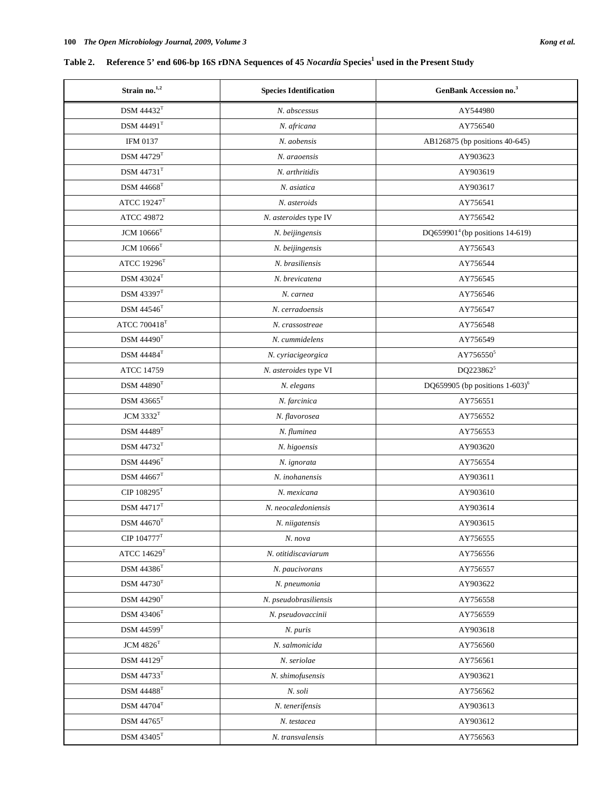# Table 2. Reference 5' end 606-bp 16S rDNA Sequences of 45 *Nocardia* Species<sup>1</sup> used in the Present Study

| Strain no. <sup>1,2</sup>       | <b>Species Identification</b> | <b>GenBank Accession no.</b> <sup>3</sup>     |  |  |
|---------------------------------|-------------------------------|-----------------------------------------------|--|--|
| <b>DSM 44432<sup>T</sup></b>    | N. abscessus                  | AY544980                                      |  |  |
| <b>DSM 44491</b> <sup>T</sup>   | N. africana                   | AY756540                                      |  |  |
| IFM 0137                        | N. aobensis                   | AB126875 (bp positions 40-645)                |  |  |
| <b>DSM 44729T</b>               | N. araoensis                  | AY903623                                      |  |  |
| $\text{DSM } 44731^\text{T}$    | N. arthritidis                | AY903619                                      |  |  |
| $DSM 44668$ <sup>T</sup>        | N. asiatica                   | AY903617                                      |  |  |
| ATCC $19247$ <sup>T</sup>       | N. asteroids                  | AY756541                                      |  |  |
| ATCC 49872                      | N. asteroides type IV         | AY756542                                      |  |  |
| $\rm JCM$ $10666^T$             | N. beijingensis               | DQ659901 <sup>4</sup> (bp positions 14-619)   |  |  |
| <b>JCM</b> 10666 <sup>T</sup>   | N. beijingensis               | AY756543                                      |  |  |
| ATCC $19296$ <sup>T</sup>       | N. brasiliensis               | AY756544                                      |  |  |
| <b>DSM</b> 43024 <sup>T</sup>   | N. brevicatena                | AY756545                                      |  |  |
| <b>DSM</b> 43397 <sup>T</sup>   | N. carnea                     | AY756546                                      |  |  |
| DSM 44546 <sup>T</sup>          | N. cerradoensis               | AY756547                                      |  |  |
| ATCC $700418^{\mathrm{T}}$      | N. crassostreae               | AY756548                                      |  |  |
| $DSM$ 44490 $T$                 | N. cummidelens                | AY756549                                      |  |  |
| $DSM 44484^T$                   | N. cyriacigeorgica            | AY756550 <sup>5</sup>                         |  |  |
| ATCC 14759                      | N. asteroides type VI         | DQ223862 <sup>5</sup>                         |  |  |
| $DSM$ 44890 $T$                 | N. elegans                    | DQ659905 (bp positions $1-603$ ) <sup>6</sup> |  |  |
| $DSM$ 43665 <sup>T</sup>        | N. farcinica                  | AY756551                                      |  |  |
| <b>JCM 3332<sup>T</sup></b>     | N. flavorosea                 | AY756552                                      |  |  |
| $\text{DSM } 44489^\text{T}$    | N. fluminea                   | AY756553                                      |  |  |
| $DSM$ 44732 $T$                 | N. higoensis                  | AY903620                                      |  |  |
| DSM 44496 <sup>T</sup>          | N. ignorata                   | AY756554                                      |  |  |
| $\rm{DSM}$ $44667^T$            | N. inohanensis                | AY903611                                      |  |  |
| CIP $108295$ <sup>T</sup>       | N. mexicana                   | AY903610                                      |  |  |
| <b>DSM 44717</b> <sup>T</sup>   | N. neocaledoniensis           | AY903614                                      |  |  |
| DSM 44670 <sup>T</sup>          | N. niigatensis                | AY903615                                      |  |  |
| $\text{CIP}\ 104777^{\text{T}}$ | N. nova                       | AY756555                                      |  |  |
| ATCC $14629$ <sup>T</sup>       | N. otitidiscaviarum           | AY756556                                      |  |  |
| $\rm{DSM}$ $44386^T$            | N. paucivorans                | AY756557                                      |  |  |
| $\text{DSM } 44730^\text{T}$    | N. pneumonia                  | AY903622                                      |  |  |
| $\text{DSM } 44290^\text{T}$    | N. pseudobrasiliensis         | AY756558                                      |  |  |
| $\rm{DSM}$ $43406^T$            | N. pseudovaccinii             | AY756559                                      |  |  |
| $\rm{DSM}$ $44599 ^{\rm T}$     | N. puris                      | AY903618                                      |  |  |
| $\rm JCM$ $4826^T$              | N. salmonicida                | AY756560                                      |  |  |
| $\text{DSM }44129^{\text{T}}$   | N. seriolae                   | AY756561                                      |  |  |
| $\rm{DSM}$ $44733^T$            | N. shimofusensis              | AY903621                                      |  |  |
| $\rm{DSM}$ $44488^T$            | N. soli                       | AY756562                                      |  |  |
| $\rm{DSM}$ $44704^{\rm T}$      | N. tenerifensis               | AY903613                                      |  |  |
| $\rm{DSM}$ $44765^{\rm{T}}$     | N. testacea                   | AY903612                                      |  |  |
| $\rm{DSM}$ $\rm 43405^{T}$      | N. transvalensis              | AY756563                                      |  |  |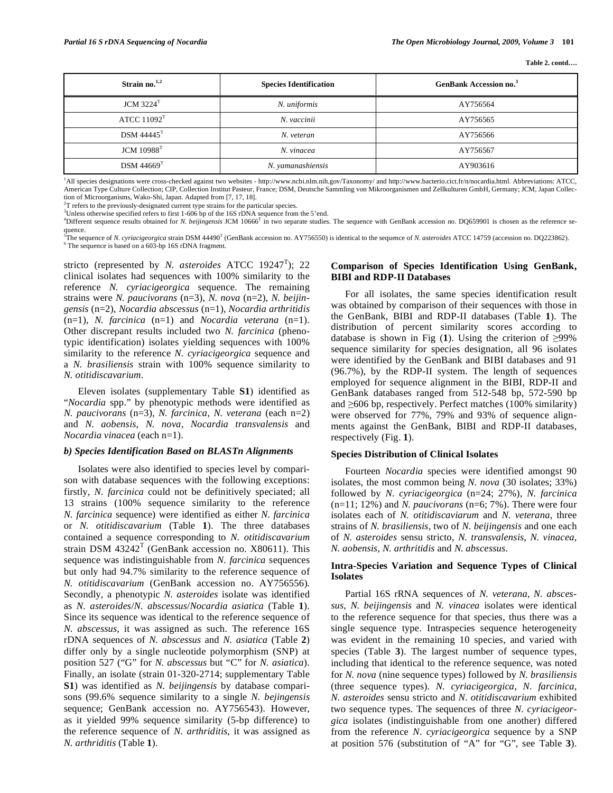| Strain no. $1,2$          | <b>Species Identification</b> | <b>GenBank Accession no.</b> <sup>3</sup> |  |
|---------------------------|-------------------------------|-------------------------------------------|--|
| $JCM$ 3224 <sup>T</sup>   | N. uniformis                  | AY756564                                  |  |
| ATCC $11092$ <sup>T</sup> | N. vaccinii                   | AY756565                                  |  |
| $DSM$ 44445 <sup>T</sup>  | N. veteran                    | AY756566                                  |  |
| JCM 10988 <sup>T</sup>    | N. vinacea                    | AY756567                                  |  |
| $DSM 44669$ <sup>T</sup>  | N. yamanashiensis             | AY903616                                  |  |

<sup>1</sup>All species designations were cross-checked against two websites - http://www.ncbi.nlm.nih.gov/Taxonomy/ and http://www.bacterio.cict.fr/n/nocardia.html. Abbreviations: ATCC, American Type Culture Collection; CIP, Collection Institut Pasteur, France; DSM, Deutsche Sammling von Mikroorganismen und Zellkulturen GmbH, Germany; JCM, Japan Collection of Microorganisms, Wako-Shi, Japan. Adapted from [7, 17, 18].

 $2T$  refers to the previously-designated current type strains for the particular species.

<sup>3</sup>Unless otherwise specified refers to first 1-606 bp of the 16S rDNA sequence from the 5'end.

<sup>4</sup>Different sequence results obtained for *N. beijingensis* JCM 10666<sup>T</sup> in two separate studies. The sequence with GenBank accession no. DQ659901 is chosen as the reference sequence.

<sup>5</sup>The sequence of *N. cyriacigeorgica* strain DSM 44490<sup>T</sup> (GenBank accession no. AY756550) is identical to the sequence of *N. asteroides* ATCC 14759 (accession no. DQ223862). The sequence is based on a 603-bp 16S rDNA fragment.

stricto (represented by *N. asteroides* ATCC 19247<sup>T</sup>); 22 clinical isolates had sequences with 100% similarity to the reference *N. cyriacigeorgica* sequence. The remaining strains were *N. paucivorans* (n=3), *N. nova* (n=2), *N. beijingensis* (n=2), *Nocardia abscessus* (n=1), *Nocardia arthritidis* (n=1), *N. farcinica* (n=1) and *Nocardia veterana* (n=1). Other discrepant results included two *N. farcinica* (phenotypic identification) isolates yielding sequences with 100% similarity to the reference *N. cyriacigeorgica* sequence and a *N. brasiliensis* strain with 100% sequence similarity to *N. otitidiscavarium*.

 Eleven isolates (supplementary Table **S1**) identified as "*Nocardia* spp." by phenotypic methods were identified as *N. paucivorans* (n=3), *N. farcinica, N. veterana* (each n=2) and *N. aobensis*, *N. nova*, *Nocardia transvalensis* and *Nocardia vinacea* (each n=1).

# *b) Species Identification Based on BLASTn Alignments*

 Isolates were also identified to species level by comparison with database sequences with the following exceptions: firstly, *N. farcinica* could not be definitively speciated; all 13 strains (100% sequence similarity to the reference *N. farcinica* sequence) were identified as either *N. farcinica* or *N. otitidiscavarium* (Table **1**). The three databases contained a sequence corresponding to *N. otitidiscavarium*  strain DSM  $43242^T$  (GenBank accession no. X80611). This sequence was indistinguishable from *N. farcinica* sequences but only had 94.7% similarity to the reference sequence of *N. otitidiscavarium* (GenBank accession no. AY756556). Secondly, a phenotypic *N. asteroides* isolate was identified as *N. asteroides*/*N. abscessus*/*Nocardia asiatica* (Table **1**). Since its sequence was identical to the reference sequence of *N. abscessus,* it was assigned as such. The reference 16S rDNA sequences of *N. abscessus* and *N. asiatica* (Table **2**) differ only by a single nucleotide polymorphism (SNP) at position 527 ("G" for *N. abscessus* but "C" for *N. asiatica*). Finally, an isolate (strain 01-320-2714; supplementary Table **S1**) was identified as *N. beijingensis* by database comparisons (99.6% sequence similarity to a single *N. bejingensis* sequence; GenBank accession no. AY756543). However, as it yielded 99% sequence similarity (5-bp difference) to the reference sequence of *N. arthriditis*, it was assigned as *N. arthriditis* (Table **1**).

# **Comparison of Species Identification Using GenBank, BIBI and RDP-II Databases**

 For all isolates, the same species identification result was obtained by comparison of their sequences with those in the GenBank, BIBI and RDP-II databases (Table **1**). The distribution of percent similarity scores according to database is shown in Fig  $(1)$ . Using the criterion of  $\geq 99\%$ sequence similarity for species designation, all 96 isolates were identified by the GenBank and BIBI databases and 91 (96.7%), by the RDP-II system. The length of sequences employed for sequence alignment in the BIBI, RDP-II and GenBank databases ranged from 512-548 bp, 572-590 bp and  $\geq 606$  bp, respectively. Perfect matches (100% similarity) were observed for 77%, 79% and 93% of sequence alignments against the GenBank, BIBI and RDP-II databases, respectively (Fig. **1**).

## **Species Distribution of Clinical Isolates**

 Fourteen *Nocardia* species were identified amongst 90 isolates, the most common being *N. nova* (30 isolates; 33%) followed by *N. cyriacigeorgica* (n=24; 27%), *N. farcinica* (n=11; 12%) and *N. paucivorans* (n=6; 7%). There were four isolates each of *N. otitidiscaviarum* and *N. veterana*, three strains of *N. brasiliensis*, two of *N. beijingensis* and one each of *N. asteroides* sensu stricto*, N. transvalensis*, *N. vinacea*, *N. aobensis*, *N. arthritidis* and *N. abscessus*.

# **Intra-Species Variation and Sequence Types of Clinical Isolates**

 Partial 16S rRNA sequences of *N. veterana*, *N. abscessus*, *N. beijingensis* and *N. vinacea* isolates were identical to the reference sequence for that species, thus there was a single sequence type. Intraspecies sequence heterogeneity was evident in the remaining 10 species, and varied with species (Table **3**). The largest number of sequence types, including that identical to the reference sequence, was noted for *N. nova* (nine sequence types) followed by *N. brasiliensis* (three sequence types). *N. cyriacigeorgica*, *N. farcinica*, *N*. *asteroides* sensu stricto and *N. otitidiscavarium* exhibited two sequence types. The sequences of three *N. cyriacigeorgica* isolates (indistinguishable from one another) differed from the reference *N*. *cyriacigeorgica* sequence by a SNP at position 576 (substitution of "A" for "G", see Table **3**).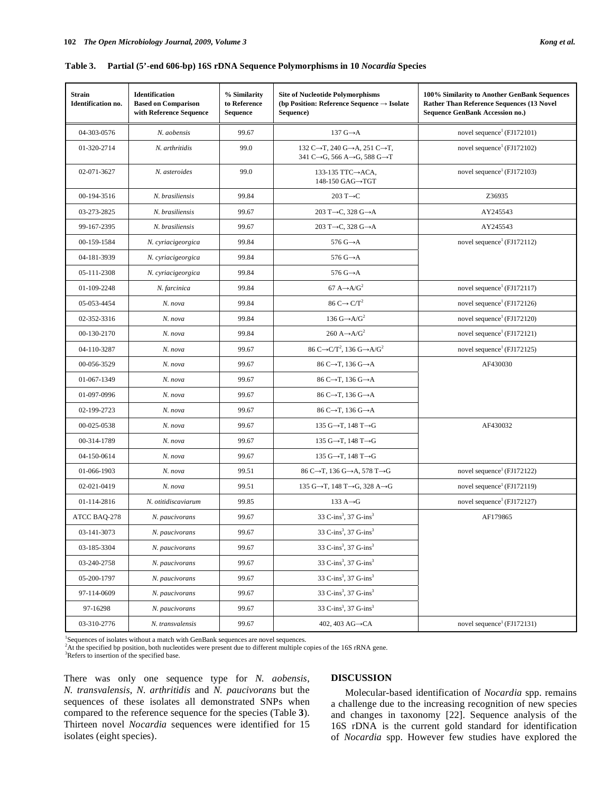| <b>Strain</b><br><b>Identification no.</b> | <b>Identification</b><br><b>Based on Comparison</b><br>with Reference Sequence | % Similarity<br>to Reference<br><b>Sequence</b> | <b>Site of Nucleotide Polymorphisms</b><br>(bp Position: Reference Sequence $\rightarrow$ Isolate<br>Sequence)                              | 100% Similarity to Another GenBank Sequences<br>Rather Than Reference Sequences (13 Novel<br><b>Sequence GenBank Accession no.)</b> |  |
|--------------------------------------------|--------------------------------------------------------------------------------|-------------------------------------------------|---------------------------------------------------------------------------------------------------------------------------------------------|-------------------------------------------------------------------------------------------------------------------------------------|--|
| 04-303-0576                                | N. aobensis                                                                    | 99.67                                           | 137 $G \rightarrow A$                                                                                                                       | novel sequence <sup>1</sup> (FJ172101)                                                                                              |  |
| 01-320-2714                                | N. arthritidis                                                                 | 99.0                                            | 132 C $\rightarrow$ T, 240 G $\rightarrow$ A, 251 C $\rightarrow$ T,<br>341 C $\rightarrow$ G, 566 A $\rightarrow$ G, 588 G $\rightarrow$ T | novel sequence <sup>1</sup> (FJ172102)                                                                                              |  |
| 02-071-3627                                | N. asteroides                                                                  | 99.0                                            | 133-135 TTC→ACA,<br>148-150 GAG→TGT                                                                                                         | novel sequence <sup>1</sup> (FJ172103)                                                                                              |  |
| 00-194-3516                                | N. brasiliensis                                                                | 99.84                                           | 203 T $\rightarrow$ C                                                                                                                       | Z36935                                                                                                                              |  |
| 03-273-2825                                | N. brasiliensis                                                                | 99.67                                           | 203 T $\rightarrow$ C, 328 G $\rightarrow$ A                                                                                                | AY245543                                                                                                                            |  |
| 99-167-2395                                | N. brasiliensis                                                                | 99.67                                           | 203 T $\rightarrow$ C, 328 G $\rightarrow$ A                                                                                                | AY245543                                                                                                                            |  |
| 00-159-1584                                | N. cyriacigeorgica                                                             | 99.84                                           | 576 $G \rightarrow A$                                                                                                                       | novel sequence <sup>1</sup> (FJ172112)                                                                                              |  |
| 04-181-3939                                | N. cyriacigeorgica                                                             | 99.84                                           | 576 $G \rightarrow A$                                                                                                                       |                                                                                                                                     |  |
| 05-111-2308                                | N. cyriacigeorgica                                                             | 99.84                                           | 576 $G \rightarrow A$                                                                                                                       |                                                                                                                                     |  |
| 01-109-2248                                | N. farcinica                                                                   | 99.84                                           | 67 A $\rightarrow$ A/G <sup>2</sup>                                                                                                         | novel sequence <sup>1</sup> (FJ172117)                                                                                              |  |
| 05-053-4454                                | N. nova                                                                        | 99.84                                           | 86 C $\rightarrow$ C/T <sup>2</sup>                                                                                                         | novel sequence <sup>1</sup> (FJ172126)                                                                                              |  |
| 02-352-3316                                | N. nova                                                                        | 99.84                                           | 136 $G \rightarrow A/G^2$                                                                                                                   | novel sequence <sup>1</sup> (FJ172120)                                                                                              |  |
| 00-130-2170                                | N. nova                                                                        | 99.84                                           | 260 A $\rightarrow$ A/G <sup>2</sup>                                                                                                        | novel sequence <sup>1</sup> (FJ172121)                                                                                              |  |
| 04-110-3287                                | N. nova                                                                        | 99.67                                           | 86 C $\rightarrow$ C/T <sup>2</sup> , 136 G $\rightarrow$ A/G <sup>2</sup>                                                                  | novel sequence <sup>1</sup> (FJ172125)                                                                                              |  |
| 00-056-3529                                | N. nova                                                                        | 99.67                                           | 86 C→T, 136 G→A                                                                                                                             | AF430030                                                                                                                            |  |
| 01-067-1349                                | N. nova                                                                        | 99.67                                           | 86 C→T, 136 G→A                                                                                                                             |                                                                                                                                     |  |
| 01-097-0996                                | N. nova                                                                        | 99.67                                           | 86 C $\rightarrow$ T, 136 G $\rightarrow$ A                                                                                                 |                                                                                                                                     |  |
| 02-199-2723                                | N. nova                                                                        | 99.67                                           | 86 C $\rightarrow$ T, 136 G $\rightarrow$ A                                                                                                 |                                                                                                                                     |  |
| 00-025-0538                                | N. nova                                                                        | 99.67                                           | 135 G $\rightarrow$ T, 148 T $\rightarrow$ G                                                                                                | AF430032                                                                                                                            |  |
| 00-314-1789                                | N. nova                                                                        | 99.67                                           | 135 G $\rightarrow$ T, 148 T $\rightarrow$ G                                                                                                |                                                                                                                                     |  |
| 04-150-0614                                | N. nova                                                                        | 99.67                                           | 135 G $\rightarrow$ T, 148 T $\rightarrow$ G                                                                                                |                                                                                                                                     |  |
| 01-066-1903                                | N. nova                                                                        | 99.51                                           | 86 C $\rightarrow$ T, 136 G $\rightarrow$ A, 578 T $\rightarrow$ G                                                                          | novel sequence <sup>1</sup> (FJ172122)                                                                                              |  |
| 02-021-0419                                | N. nova                                                                        | 99.51                                           | 135 G $\rightarrow$ T, 148 T $\rightarrow$ G, 328 A $\rightarrow$ G                                                                         | novel sequence <sup>1</sup> (FJ172119)                                                                                              |  |
| 01-114-2816                                | N. otitidiscaviarum                                                            | 99.85                                           | 133 $A \rightarrow G$                                                                                                                       | novel sequence <sup>1</sup> (FJ172127)                                                                                              |  |
| ATCC BAQ-278                               | N. paucivorans                                                                 | 99.67                                           | 33 C-ins <sup>3</sup> , 37 G-ins <sup>3</sup>                                                                                               | AF179865                                                                                                                            |  |
| 03-141-3073                                | N. paucivorans                                                                 | 99.67                                           | 33 C-ins <sup>3</sup> , 37 G-ins <sup>3</sup>                                                                                               |                                                                                                                                     |  |
| 03-185-3304                                | N. paucivorans                                                                 | 99.67                                           | 33 C-ins <sup>3</sup> , 37 G-ins <sup>3</sup>                                                                                               |                                                                                                                                     |  |
| 03-240-2758                                | N. paucivorans                                                                 | 99.67                                           | 33 C-ins <sup>3</sup> , 37 G-ins <sup>3</sup>                                                                                               |                                                                                                                                     |  |
| 05-200-1797                                | N. paucivorans                                                                 | 99.67                                           | 33 C-ins <sup>3</sup> , 37 G-ins <sup>3</sup>                                                                                               |                                                                                                                                     |  |
| 97-114-0609                                | N. paucivorans                                                                 | 99.67                                           | 33 C-ins <sup>3</sup> , 37 G-ins <sup>3</sup>                                                                                               |                                                                                                                                     |  |
| 97-16298                                   | N. paucivorans                                                                 | 99.67                                           | 33 C-ins <sup>3</sup> , 37 G-ins <sup>3</sup>                                                                                               |                                                                                                                                     |  |

03-310-2776 *N. transvalensis* 99.67 402, 403 AG  $\rightarrow$  CA novel sequence<sup>1</sup> (FJ172131)

**Table 3. Partial (5'-end 606-bp) 16S rDNA Sequence Polymorphisms in 10** *Nocardia* **Species** 

1 Sequences of isolates without a match with GenBank sequences are novel sequences.

<sup>2</sup>At the specified bp position, both nucleotides were present due to different multiple copies of the 16S rRNA gene.

3 Refers to insertion of the specified base.

There was only one sequence type for *N. aobensis*, *N. transvalensis*, *N. arthritidis* and *N. paucivorans* but the sequences of these isolates all demonstrated SNPs when compared to the reference sequence for the species (Table **3**). Thirteen novel *Nocardia* sequences were identified for 15 isolates (eight species).

# **DISCUSSION**

 Molecular-based identification of *Nocardia* spp. remains a challenge due to the increasing recognition of new species and changes in taxonomy [22]. Sequence analysis of the 16S rDNA is the current gold standard for identification of *Nocardia* spp. However few studies have explored the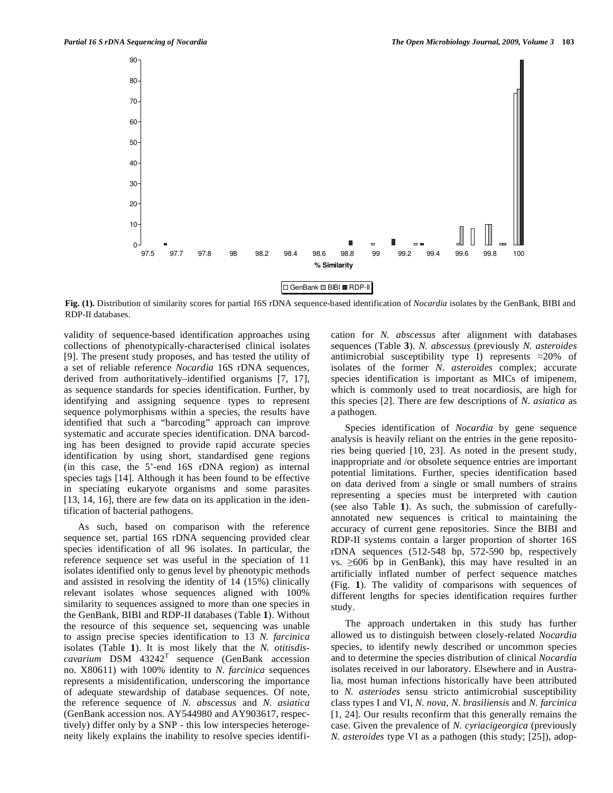

**Fig. (1).** Distribution of similarity scores for partial 16S rDNA sequence-based identification of *Nocardia* isolates by the GenBank, BIBI and RDP-II databases.

validity of sequence-based identification approaches using collections of phenotypically-characterised clinical isolates [9]. The present study proposes, and has tested the utility of a set of reliable reference *Nocardia* 16S rDNA sequences, derived from authoritatively–identified organisms [7, 17], as sequence standards for species identification. Further, by identifying and assigning sequence types to represent sequence polymorphisms within a species, the results have identified that such a "barcoding" approach can improve systematic and accurate species identification. DNA barcoding has been designed to provide rapid accurate species identification by using short, standardised gene regions (in this case, the 5'-end 16S rDNA region) as internal species tags [14]. Although it has been found to be effective in speciating eukaryote organisms and some parasites [13, 14, 16], there are few data on its application in the identification of bacterial pathogens.

 As such, based on comparison with the reference sequence set, partial 16S rDNA sequencing provided clear species identification of all 96 isolates. In particular, the reference sequence set was useful in the speciation of 11 isolates identified only to genus level by phenotypic methods and assisted in resolving the identity of 14 (15%) clinically relevant isolates whose sequences aligned with 100% similarity to sequences assigned to more than one species in the GenBank, BIBI and RDP-II databases (Table **1**). Without the resource of this sequence set, sequencing was unable to assign precise species identification to 13 *N. farcinica* isolates (Table **1**). It is most likely that the *N. otitisdis* $cavarium$   $DSM$   $43242<sup>T</sup>$  sequence (GenBank accession no. X80611) with 100% identity to *N. farcinica* sequences represents a misidentification, underscoring the importance of adequate stewardship of database sequences. Of note, the reference sequence of *N. abscessus* and *N. asiatica* (GenBank accession nos. AY544980 and AY903617, respectively) differ only by a SNP - this low interspecies heterogeneity likely explains the inability to resolve species identification for *N. abscessus* after alignment with databases sequences (Table **3**). *N. abscessus* (previously *N. asteroides* antimicrobial susceptibility type I) represents  $\approx 20\%$  of isolates of the former *N. asteroides* complex; accurate species identification is important as MICs of imipenem, which is commonly used to treat nocardiosis, are high for this species [2]. There are few descriptions of *N. asiatica* as a pathogen.

 Species identification of *Nocardia* by gene sequence analysis is heavily reliant on the entries in the gene repositories being queried [10, 23]. As noted in the present study, inappropriate and /or obsolete sequence entries are important potential limitations. Further, species identification based on data derived from a single or small numbers of strains representing a species must be interpreted with caution (see also Table **1**). As such, the submission of carefullyannotated new sequences is critical to maintaining the accuracy of current gene repositories. Since the BIBI and RDP-II systems contain a larger proportion of shorter 16S rDNA sequences (512-548 bp, 572-590 bp, respectively vs.  $\geq 606$  bp in GenBank), this may have resulted in an artificially inflated number of perfect sequence matches (Fig. **1**). The validity of comparisons with sequences of different lengths for species identification requires further study.

 The approach undertaken in this study has further allowed us to distinguish between closely-related *Nocardia*  species, to identify newly described or uncommon species and to determine the species distribution of clinical *Nocardia* isolates received in our laboratory. Elsewhere and in Australia, most human infections historically have been attributed to *N. asteriodes* sensu stricto antimicrobial susceptibility class types I and VI, *N*. *nova*, *N*. *brasiliensis* and *N. farcinica* [1, 24]. Our results reconfirm that this generally remains the case. Given the prevalence of *N. cyriacigeorgica* (previously *N. asteroides* type VI as a pathogen (this study; [25]), adop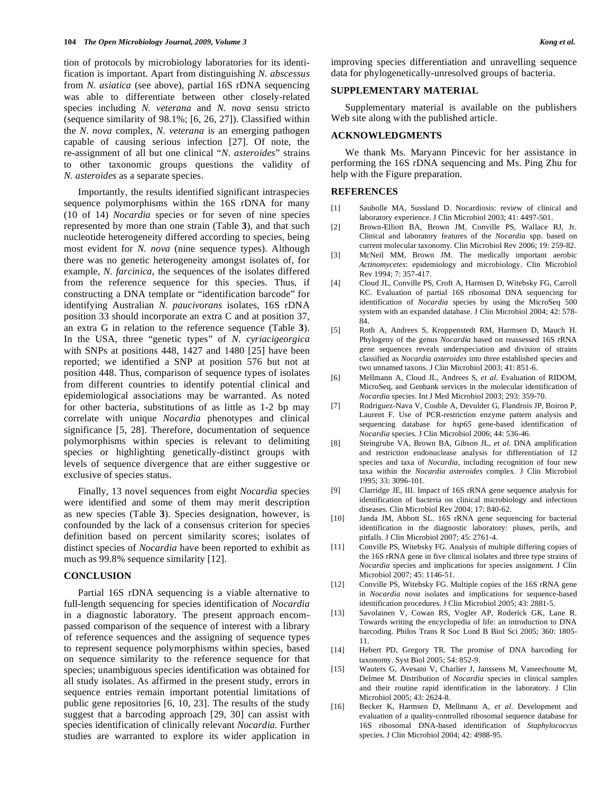tion of protocols by microbiology laboratories for its identification is important. Apart from distinguishing *N. abscessus* from *N. asiatica* (see above), partial 16S rDNA sequencing was able to differentiate between other closely-related species including *N. veterana* and *N. nova* sensu stricto (sequence similarity of 98.1%; [6, 26, 27]). Classified within the *N. nova* complex, *N. veterana* is an emerging pathogen capable of causing serious infection [27]. Of note, the re-assignment of all but one clinical "*N. asteroides*" strains to other taxonomic groups questions the validity of *N. asteroides* as a separate species.

 Importantly, the results identified significant intraspecies sequence polymorphisms within the 16S rDNA for many (10 of 14) *Nocardia* species or for seven of nine species represented by more than one strain (Table **3**), and that such nucleotide heterogeneity differed according to species, being most evident for *N. nova* (nine sequence types). Although there was no genetic heterogeneity amongst isolates of, for example, *N. farcinica,* the sequences of the isolates differed from the reference sequence for this species. Thus, if constructing a DNA template or "identification barcode" for identifying Australian *N. paucivorans* isolates, 16S rDNA position 33 should incorporate an extra C and at position 37, an extra G in relation to the reference sequence (Table **3**). In the USA, three "genetic types" of *N. cyriacigeorgica* with SNPs at positions 448, 1427 and 1480 [25] have been reported; we identified a SNP at position 576 but not at position 448. Thus, comparison of sequence types of isolates from different countries to identify potential clinical and epidemiological associations may be warranted. As noted for other bacteria, substitutions of as little as 1-2 bp may correlate with unique *Nocardia* phenotypes and clinical significance [5, 28]. Therefore, documentation of sequence polymorphisms within species is relevant to delimiting species or highlighting genetically-distinct groups with levels of sequence divergence that are either suggestive or exclusive of species status.

 Finally, 13 novel sequences from eight *Nocardia* species were identified and some of them may merit description as new species (Table **3**). Species designation, however, is confounded by the lack of a consensus criterion for species definition based on percent similarity scores; isolates of distinct species of *Nocardia* have been reported to exhibit as much as 99.8% sequence similarity [12].

## **CONCLUSION**

 Partial 16S rDNA sequencing is a viable alternative to full-length sequencing for species identification of *Nocardia*  in a diagnostic laboratory*.* The present approach encompassed comparison of the sequence of interest with a library of reference sequences and the assigning of sequence types to represent sequence polymorphisms within species, based on sequence similarity to the reference sequence for that species; unambiguous species identification was obtained for all study isolates. As affirmed in the present study, errors in sequence entries remain important potential limitations of public gene repositories [6, 10, 23]. The results of the study suggest that a barcoding approach [29, 30] can assist with species identification of clinically relevant *Nocardia.* Further studies are warranted to explore its wider application in

improving species differentiation and unravelling sequence data for phylogenetically-unresolved groups of bacteria.

#### **SUPPLEMENTARY MATERIAL**

 Supplementary material is available on the publishers Web site along with the published article.

## **ACKNOWLEDGMENTS**

 We thank Ms. Maryann Pincevic for her assistance in performing the 16S rDNA sequencing and Ms. Ping Zhu for help with the Figure preparation.

# **REFERENCES**

- [1] Saubolle MA, Sussland D. Nocardiosis: review of clinical and laboratory experience. J Clin Microbiol 2003; 41: 4497-501.
- [2] Brown-Elliott BA, Brown JM, Conville PS, Wallace RJ, Jr. Clinical and laboratory features of the *Nocardia* spp. based on current molecular taxonomy. Clin Microbiol Rev 2006; 19: 259-82.
- [3] McNeil MM, Brown JM. The medically important aerobic *Actinomycetes*: epidemiology and microbiology. Clin Microbiol Rev 1994; 7: 357-417.
- [4] Cloud JL, Conville PS, Croft A, Harmsen D, Witebsky FG, Carroll KC. Evaluation of partial 16S ribosomal DNA sequencing for identification of *Nocardia* species by using the MicroSeq 500 system with an expanded database. J Clin Microbiol 2004; 42: 578- 84.
- [5] Roth A, Andrees S, Kroppenstedt RM, Harmsen D, Mauch H. Phylogeny of the genus *Nocardia* based on reassessed 16S rRNA gene sequences reveals underspeciation and division of strains classified as *Nocardia asteroides* into three established species and two unnamed taxons. J Clin Microbiol 2003; 41: 851-6.
- [6] Mellmann A, Cloud JL, Andrees S, *et al*. Evaluation of RIDOM, MicroSeq, and Genbank services in the molecular identification of *Nocardia* species. Int J Med Microbiol 2003; 293: 359-70.
- [7] Rodriguez-Nava V, Couble A, Devulder G, Flandrois JP, Boiron P, Laurent F. Use of PCR-restriction enzyme pattern analysis and sequencing database for *hsp65* gene-based identification of *Nocardia* species. J Clin Microbiol 2006; 44: 536-46.
- [8] Steingrube VA, Brown BA, Gibson JL, *et al*. DNA amplification and restriction endonuclease analysis for differentiation of 12 species and taxa of *Nocardia*, including recognition of four new taxa within the *Nocardia asteroides* complex. J Clin Microbiol 1995; 33: 3096-101.
- [9] Clarridge JE, III. Impact of 16S rRNA gene sequence analysis for identification of bacteria on clinical microbiology and infectious diseases. Clin Microbiol Rev 2004; 17: 840-62.
- [10] Janda JM, Abbott SL. 16S rRNA gene sequencing for bacterial identification in the diagnostic laboratory: pluses, perils, and pitfalls. J Clin Microbiol 2007; 45: 2761-4.
- [11] Conville PS, Witebsky FG. Analysis of multiple differing copies of the 16S rRNA gene in five clinical isolates and three type strains of *Nocardia* species and implications for species assignment. J Clin Microbiol 2007; 45: 1146-51.
- [12] Conville PS, Witebsky FG. Multiple copies of the 16S rRNA gene in *Nocardia nova* isolates and implications for sequence-based identification procedures. J Clin Microbiol 2005; 43: 2881-5.
- [13] Savolainen V, Cowan RS, Vogler AP, Roderick GK, Lane R. Towards writing the encyclopedia of life: an introduction to DNA barcoding. Philos Trans R Soc Lond B Biol Sci 2005; 360: 1805- 11.
- [14] Hebert PD, Gregory TR. The promise of DNA barcoding for taxonomy. Syst Biol 2005; 54: 852-9.
- [15] Wauters G, Avesani V, Charlier J, Janssens M, Vaneechoutte M, Delmee M. Distribution of *Nocardia* species in clinical samples and their routine rapid identification in the laboratory. J Clin Microbiol 2005; 43: 2624-8.
- [16] Becker K, Harmsen D, Mellmann A, *et al*. Development and evaluation of a quality-controlled ribosomal sequence database for 16S ribosomal DNA-based identification of *Staphylococcus*  species. J Clin Microbiol 2004; 42: 4988-95.